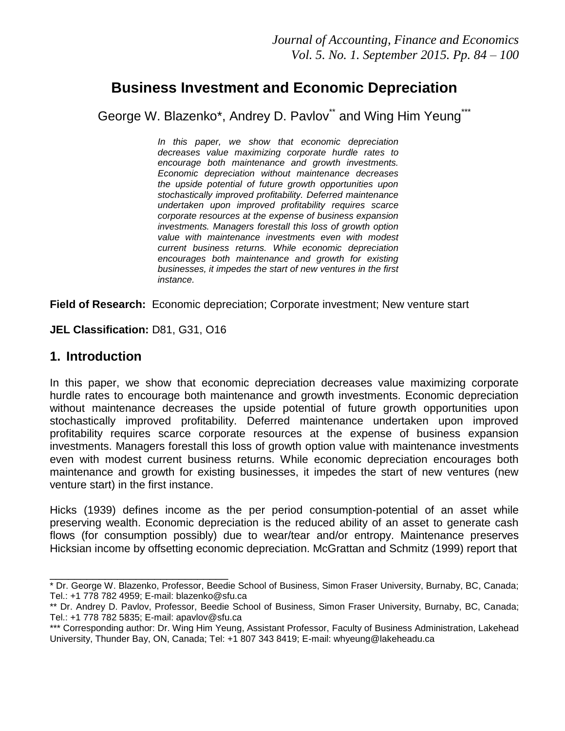# **Business Investment and Economic Depreciation**

George W. Blazenko\*, Andrey D. Pavlov\*\* and Wing Him Yeung\*\*\*

*In this paper, we show that economic depreciation decreases value maximizing corporate hurdle rates to encourage both maintenance and growth investments. Economic depreciation without maintenance decreases the upside potential of future growth opportunities upon stochastically improved profitability. Deferred maintenance undertaken upon improved profitability requires scarce corporate resources at the expense of business expansion investments. Managers forestall this loss of growth option value with maintenance investments even with modest current business returns. While economic depreciation encourages both maintenance and growth for existing businesses, it impedes the start of new ventures in the first instance.*

**Field of Research:** Economic depreciation; Corporate investment; New venture start

**JEL Classification:** D81, G31, O16

\_\_\_\_\_\_\_\_\_\_\_\_\_\_\_\_\_\_\_\_\_\_\_\_\_\_\_\_\_

## **1. Introduction**

In this paper, we show that economic depreciation decreases value maximizing corporate hurdle rates to encourage both maintenance and growth investments. Economic depreciation without maintenance decreases the upside potential of future growth opportunities upon stochastically improved profitability. Deferred maintenance undertaken upon improved profitability requires scarce corporate resources at the expense of business expansion investments. Managers forestall this loss of growth option value with maintenance investments even with modest current business returns. While economic depreciation encourages both maintenance and growth for existing businesses, it impedes the start of new ventures (new venture start) in the first instance.

Hicks (1939) defines income as the per period consumption-potential of an asset while preserving wealth. Economic depreciation is the reduced ability of an asset to generate cash flows (for consumption possibly) due to wear/tear and/or entropy. Maintenance preserves Hicksian income by offsetting economic depreciation. McGrattan and Schmitz (1999) report that

<sup>\*</sup> Dr. George W. Blazenko, Professor, Beedie School of Business, Simon Fraser University, Burnaby, BC, Canada; Tel.: +1 778 782 4959; E-mail: [blazenko@sfu.ca](mailto:blazenko@sfu.ca)

<sup>\*\*</sup> Dr. Andrey D. Pavlov, Professor, Beedie School of Business, Simon Fraser University, Burnaby, BC, Canada; Tel.: +1 778 782 5835; E-mail: [apavlov@sfu.ca](mailto:apavlov@sfu.ca)

<sup>\*\*\*</sup> Corresponding author: Dr. Wing Him Yeung, Assistant Professor, Faculty of Business Administration, Lakehead University, Thunder Bay, ON, Canada; Tel: +1 807 343 8419; E-mail: [whyeung@lakeheadu.ca](mailto:whyeung@lakeheadu.ca)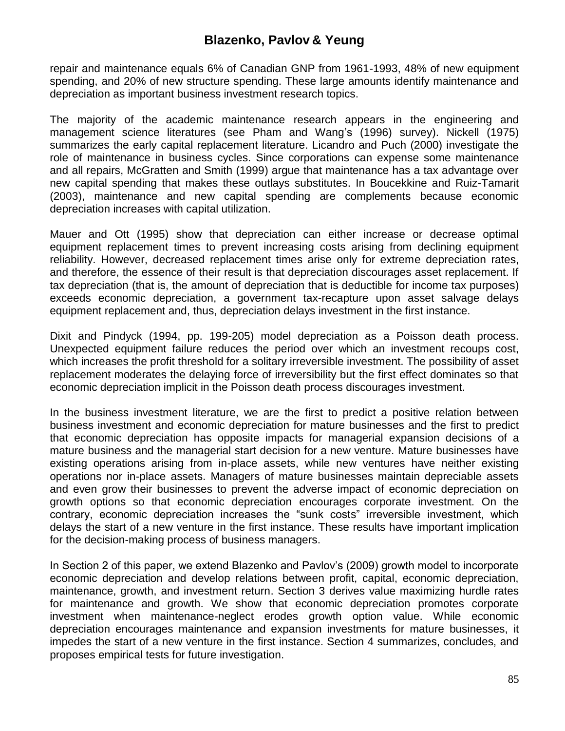repair and maintenance equals 6% of Canadian GNP from 1961-1993, 48% of new equipment spending, and 20% of new structure spending. These large amounts identify maintenance and depreciation as important business investment research topics.

The majority of the academic maintenance research appears in the engineering and management science literatures (see Pham and Wang"s (1996) survey). Nickell (1975) summarizes the early capital replacement literature. Licandro and Puch (2000) investigate the role of maintenance in business cycles. Since corporations can expense some maintenance and all repairs, McGratten and Smith (1999) argue that maintenance has a tax advantage over new capital spending that makes these outlays substitutes. In Boucekkine and Ruiz-Tamarit (2003), maintenance and new capital spending are complements because economic depreciation increases with capital utilization.

Mauer and Ott (1995) show that depreciation can either increase or decrease optimal equipment replacement times to prevent increasing costs arising from declining equipment reliability. However, decreased replacement times arise only for extreme depreciation rates, and therefore, the essence of their result is that depreciation discourages asset replacement. If tax depreciation (that is, the amount of depreciation that is deductible for income tax purposes) exceeds economic depreciation, a government tax-recapture upon asset salvage delays equipment replacement and, thus, depreciation delays investment in the first instance.

Dixit and Pindyck (1994, pp. 199-205) model depreciation as a Poisson death process. Unexpected equipment failure reduces the period over which an investment recoups cost, which increases the profit threshold for a solitary irreversible investment. The possibility of asset replacement moderates the delaying force of irreversibility but the first effect dominates so that economic depreciation implicit in the Poisson death process discourages investment.

In the business investment literature, we are the first to predict a positive relation between business investment and economic depreciation for mature businesses and the first to predict that economic depreciation has opposite impacts for managerial expansion decisions of a mature business and the managerial start decision for a new venture. Mature businesses have existing operations arising from in-place assets, while new ventures have neither existing operations nor in-place assets. Managers of mature businesses maintain depreciable assets and even grow their businesses to prevent the adverse impact of economic depreciation on growth options so that economic depreciation encourages corporate investment. On the contrary, economic depreciation increases the "sunk costs" irreversible investment, which delays the start of a new venture in the first instance. These results have important implication for the decision-making process of business managers.

In Section 2 of this paper, we extend Blazenko and Pavlov"s (2009) growth model to incorporate economic depreciation and develop relations between profit, capital, economic depreciation, maintenance, growth, and investment return. Section 3 derives value maximizing hurdle rates for maintenance and growth. We show that economic depreciation promotes corporate investment when maintenance-neglect erodes growth option value. While economic depreciation encourages maintenance and expansion investments for mature businesses, it impedes the start of a new venture in the first instance. Section 4 summarizes, concludes, and proposes empirical tests for future investigation.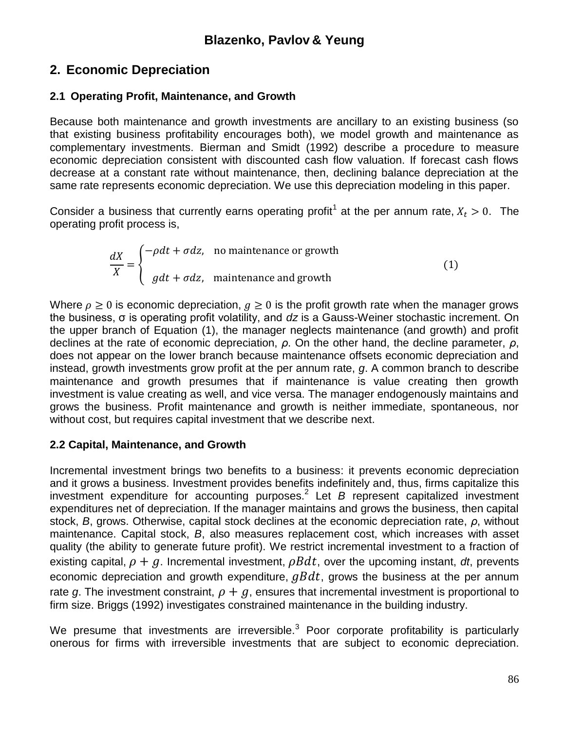# **2. Economic Depreciation**

## **2.1 Operating Profit, Maintenance, and Growth**

Because both maintenance and growth investments are ancillary to an existing business (so that existing business profitability encourages both), we model growth and maintenance as complementary investments. Bierman and Smidt (1992) describe a procedure to measure economic depreciation consistent with discounted cash flow valuation. If forecast cash flows decrease at a constant rate without maintenance, then, declining balance depreciation at the same rate represents economic depreciation. We use this depreciation modeling in this paper.

Consider a business that currently earns operating profit<sup>1</sup> at the per annum rate,  $X_t > 0$ . The operating profit process is,

$$
\frac{dX}{X} = \begin{cases}\n-\rho dt + \sigma dz, & \text{no maintenance or growth} \\
g dt + \sigma dz, & \text{ maintenance and growth}\n\end{cases}
$$
\n(1)

Where  $\rho \geq 0$  is economic depreciation,  $q \geq 0$  is the profit growth rate when the manager grows the business, σ is operating profit volatility, and *dz* is a Gauss-Weiner stochastic increment. On the upper branch of Equation (1), the manager neglects maintenance (and growth) and profit declines at the rate of economic depreciation, *ρ*. On the other hand, the decline parameter, *ρ*, does not appear on the lower branch because maintenance offsets economic depreciation and instead, growth investments grow profit at the per annum rate, *g*. A common branch to describe maintenance and growth presumes that if maintenance is value creating then growth investment is value creating as well, and vice versa. The manager endogenously maintains and grows the business. Profit maintenance and growth is neither immediate, spontaneous, nor without cost, but requires capital investment that we describe next.

## **2.2 Capital, Maintenance, and Growth**

Incremental investment brings two benefits to a business: it prevents economic depreciation and it grows a business. Investment provides benefits indefinitely and, thus, firms capitalize this investment expenditure for accounting purposes.<sup>2</sup> Let *B* represent capitalized investment expenditures net of depreciation. If the manager maintains and grows the business, then capital stock, *B*, grows. Otherwise, capital stock declines at the economic depreciation rate, *ρ*, without maintenance. Capital stock, *B*, also measures replacement cost, which increases with asset quality (the ability to generate future profit). We restrict incremental investment to a fraction of existing capital,  $\rho + g$ . Incremental investment,  $\rho B dt$ , over the upcoming instant, *dt*, prevents economic depreciation and growth expenditure,  $gBdt$ , grows the business at the per annum rate g. The investment constraint,  $\rho + g$ , ensures that incremental investment is proportional to firm size. Briggs (1992) investigates constrained maintenance in the building industry.

We presume that investments are irreversible.<sup>3</sup> Poor corporate profitability is particularly onerous for firms with irreversible investments that are subject to economic depreciation.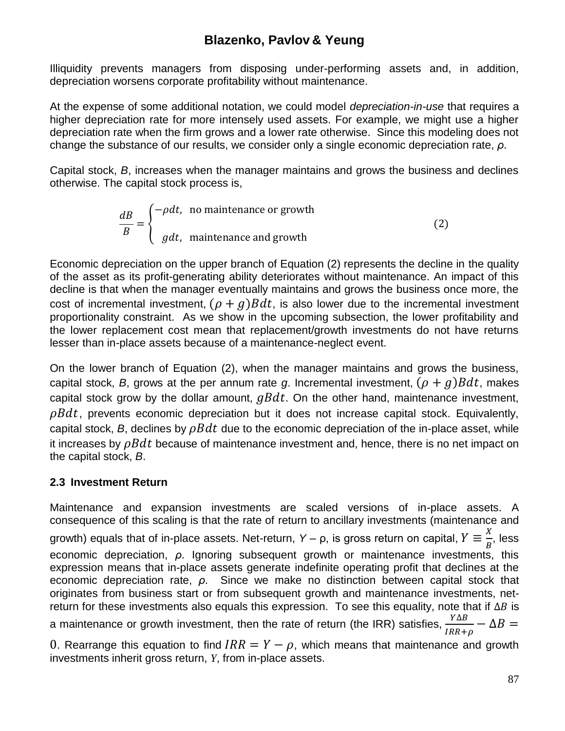Illiquidity prevents managers from disposing under-performing assets and, in addition, depreciation worsens corporate profitability without maintenance.

At the expense of some additional notation, we could model *depreciation-in-use* that requires a higher depreciation rate for more intensely used assets. For example, we might use a higher depreciation rate when the firm grows and a lower rate otherwise. Since this modeling does not change the substance of our results, we consider only a single economic depreciation rate, *ρ*.

Capital stock, *B*, increases when the manager maintains and grows the business and declines otherwise. The capital stock process is,

$$
\frac{dB}{B} = \begin{cases}\n-\rho dt, & \text{no maintenance or growth} \\
g dt, & \text{ maintenance and growth}\n\end{cases}
$$
\n(2)

Economic depreciation on the upper branch of Equation (2) represents the decline in the quality of the asset as its profit-generating ability deteriorates without maintenance. An impact of this decline is that when the manager eventually maintains and grows the business once more, the cost of incremental investment,  $(\rho + g)Bdt$ , is also lower due to the incremental investment proportionality constraint. As we show in the upcoming subsection, the lower profitability and the lower replacement cost mean that replacement/growth investments do not have returns lesser than in-place assets because of a maintenance-neglect event.

On the lower branch of Equation (2), when the manager maintains and grows the business, capital stock, *B*, grows at the per annum rate *g*. Incremental investment,  $(\rho + g)Bdt$ , makes capital stock grow by the dollar amount,  $qBdt$ . On the other hand, maintenance investment,  $\rho Bdt$ , prevents economic depreciation but it does not increase capital stock. Equivalently, capital stock, *B*, declines by  $\rho Bdt$  due to the economic depreciation of the in-place asset, while it increases by  $\rho Bdt$  because of maintenance investment and, hence, there is no net impact on the capital stock, *B*.

### **2.3 Investment Return**

Maintenance and expansion investments are scaled versions of in-place assets. A consequence of this scaling is that the rate of return to ancillary investments (maintenance and growth) equals that of in-place assets. Net-return, *Y* – ρ, is gross return on capital,  $Y \equiv \frac{X}{D}$  $\frac{n}{B}$ , less economic depreciation, *ρ*. Ignoring subsequent growth or maintenance investments, this expression means that in-place assets generate indefinite operating profit that declines at the economic depreciation rate, *ρ*. Since we make no distinction between capital stock that originates from business start or from subsequent growth and maintenance investments, netreturn for these investments also equals this expression. To see this equality, note that if  $\Delta B$  is a maintenance or growth investment, then the rate of return (the IRR) satisfies,  $\frac{P}{IRR+\rho}$  –

0. Rearrange this equation to find  $IRR = Y - \rho$ , which means that maintenance and growth investments inherit gross return, *Y*, from in-place assets.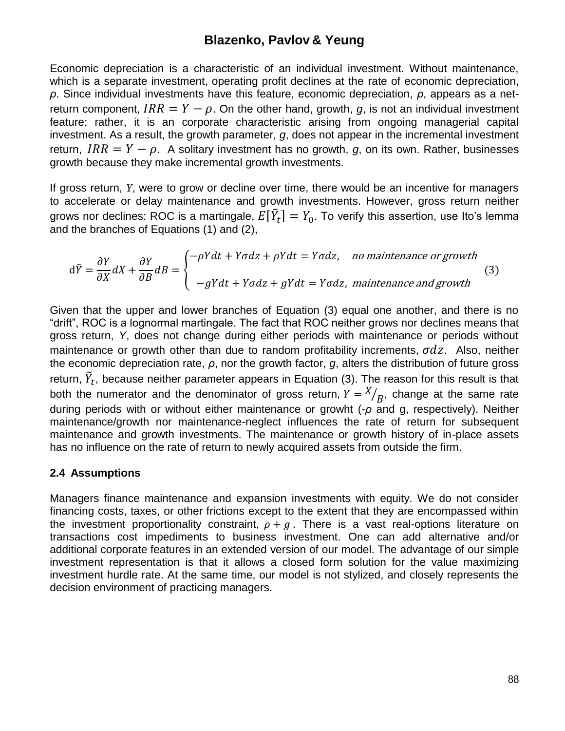Economic depreciation is a characteristic of an individual investment. Without maintenance, which is a separate investment, operating profit declines at the rate of economic depreciation, *ρ*. Since individual investments have this feature, economic depreciation, *ρ*, appears as a netreturn component,  $IRR = Y - \rho$ . On the other hand, growth, g, is not an individual investment feature; rather, it is an corporate characteristic arising from ongoing managerial capital investment. As a result, the growth parameter, *g*, does not appear in the incremental investment return,  $IRR = Y - \rho$ . A solitary investment has no growth, *q*, on its own. Rather, businesses growth because they make incremental growth investments.

If gross return, *Y*, were to grow or decline over time, there would be an incentive for managers to accelerate or delay maintenance and growth investments. However, gross return neither grows nor declines: ROC is a martingale,  $E[\tilde{Y}_t] = Y_0.$  To verify this assertion, use Ito's lemma and the branches of Equations (1) and (2),

$$
d\tilde{Y} = \frac{\partial Y}{\partial X} dX + \frac{\partial Y}{\partial B} dB = \begin{cases} -\rho Y dt + Y \sigma dz + \rho Y dt = Y \sigma dz, & no \text{ maintenance or growth} \\ -gY dt + Y \sigma dz + gY dt = Y \sigma dz, & \text{ maintenance and growth} \end{cases}
$$
(3)

Given that the upper and lower branches of Equation (3) equal one another, and there is no "drift", ROC is a lognormal martingale. The fact that ROC neither grows nor declines means that gross return, *Y*, does not change during either periods with maintenance or periods without maintenance or growth other than due to random profitability increments,  $\sigma dz$ . Also, neither the economic depreciation rate, *ρ*, nor the growth factor, *g*, alters the distribution of future gross return,  $\tilde{Y}_t$ , because neither parameter appears in Equation (3). The reason for this result is that both the numerator and the denominator of gross return,  $Y = \frac{X}{B}$ , change at the same rate during periods with or without either maintenance or growht (-*ρ* and g, respectively). Neither maintenance/growth nor maintenance-neglect influences the rate of return for subsequent maintenance and growth investments. The maintenance or growth history of in-place assets has no influence on the rate of return to newly acquired assets from outside the firm.

#### **2.4 Assumptions**

Managers finance maintenance and expansion investments with equity. We do not consider financing costs, taxes, or other frictions except to the extent that they are encompassed within the investment proportionality constraint,  $\rho + g$ . There is a vast real-options literature on transactions cost impediments to business investment. One can add alternative and/or additional corporate features in an extended version of our model. The advantage of our simple investment representation is that it allows a closed form solution for the value maximizing investment hurdle rate. At the same time, our model is not stylized, and closely represents the decision environment of practicing managers.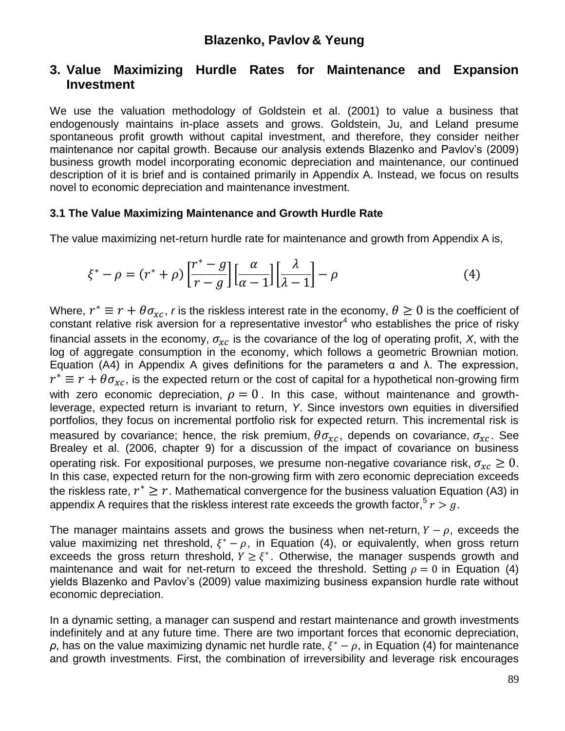## **3. Value Maximizing Hurdle Rates for Maintenance and Expansion Investment**

We use the valuation methodology of Goldstein et al. (2001) to value a business that endogenously maintains in-place assets and grows. Goldstein, Ju, and Leland presume spontaneous profit growth without capital investment, and therefore, they consider neither maintenance nor capital growth. Because our analysis extends Blazenko and Pavlov"s (2009) business growth model incorporating economic depreciation and maintenance, our continued description of it is brief and is contained primarily in Appendix A. Instead, we focus on results novel to economic depreciation and maintenance investment.

### **3.1 The Value Maximizing Maintenance and Growth Hurdle Rate**

The value maximizing net-return hurdle rate for maintenance and growth from Appendix A is,

$$
\xi^* - \rho = (r^* + \rho) \left[ \frac{r^* - g}{r - g} \right] \left[ \frac{\alpha}{\alpha - 1} \right] \left[ \frac{\lambda}{\lambda - 1} \right] - \rho \tag{4}
$$

Where,  $r^* \equiv r + \theta \sigma_{xc}$ , *r* is the riskless interest rate in the economy,  $\theta \ge 0$  is the coefficient of constant relative risk aversion for a representative investor<sup>4</sup> who establishes the price of risky financial assets in the economy,  $\sigma_{xc}$  is the covariance of the log of operating profit, *X*, with the log of aggregate consumption in the economy, which follows a geometric Brownian motion. Equation (A4) in Appendix A gives definitions for the parameters α and λ. The expression,  $r^* \equiv r + \theta \sigma_{xc}$ , is the expected return or the cost of capital for a hypothetical non-growing firm with zero economic depreciation,  $\rho = 0$ . In this case, without maintenance and growthleverage, expected return is invariant to return, *Y*. Since investors own equities in diversified portfolios, they focus on incremental portfolio risk for expected return. This incremental risk is measured by covariance; hence, the risk premium,  $\theta \sigma_{xc}$ , depends on covariance,  $\sigma_{xc}$ . See Brealey et al. (2006, chapter 9) for a discussion of the impact of covariance on business operating risk. For expositional purposes, we presume non-negative covariance risk,  $\sigma_{xc} \geq 0$ . In this case, expected return for the non-growing firm with zero economic depreciation exceeds the riskless rate,  $r^* \geq r$ . Mathematical convergence for the business valuation Equation (A3) in appendix A requires that the riskless interest rate exceeds the growth factor,  $5 r > g$ .

The manager maintains assets and grows the business when net-return,  $Y - \rho$ , exceeds the value maximizing net threshold,  $\xi^* - \rho$ , in Equation (4), or equivalently, when gross return exceeds the gross return threshold,  $Y \geq \xi^*$ . Otherwise, the manager suspends growth and maintenance and wait for net-return to exceed the threshold. Setting  $\rho = 0$  in Equation (4) yields Blazenko and Pavlov"s (2009) value maximizing business expansion hurdle rate without economic depreciation.

In a dynamic setting, a manager can suspend and restart maintenance and growth investments indefinitely and at any future time. There are two important forces that economic depreciation,  $ρ$ , has on the value maximizing dynamic net hurdle rate,  $ξ^* - ρ$ , in Equation (4) for maintenance and growth investments. First, the combination of irreversibility and leverage risk encourages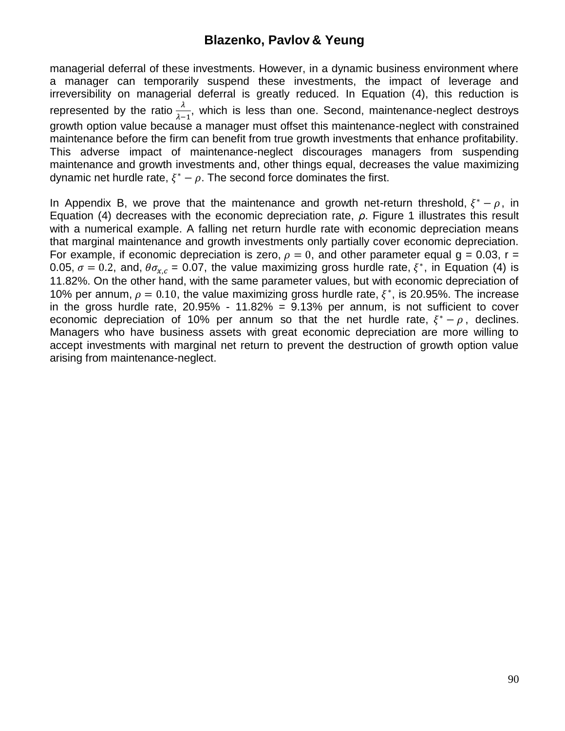managerial deferral of these investments. However, in a dynamic business environment where a manager can temporarily suspend these investments, the impact of leverage and irreversibility on managerial deferral is greatly reduced. In Equation (4), this reduction is represented by the ratio  $\frac{\lambda}{\lambda-1}$ , which is less than one. Second, maintenance-neglect destroys growth option value because a manager must offset this maintenance-neglect with constrained maintenance before the firm can benefit from true growth investments that enhance profitability. This adverse impact of maintenance-neglect discourages managers from suspending maintenance and growth investments and, other things equal, decreases the value maximizing dynamic net hurdle rate,  $\xi^* - \rho$ . The second force dominates the first.

In Appendix B, we prove that the maintenance and growth net-return threshold,  $\xi^* - \rho$ , in Equation (4) decreases with the economic depreciation rate, *ρ*. Figure 1 illustrates this result with a numerical example. A falling net return hurdle rate with economic depreciation means that marginal maintenance and growth investments only partially cover economic depreciation. For example, if economic depreciation is zero,  $\rho = 0$ , and other parameter equal  $q = 0.03$ , r = 0.05,  $\sigma = 0.2$ , and,  $\theta \sigma_{x,c} = 0.07$ , the value maximizing gross hurdle rate,  $\xi^*$ , in Equation (4) is 11.82%. On the other hand, with the same parameter values, but with economic depreciation of 10% per annum,  $\rho = 0.10$ , the value maximizing gross hurdle rate,  $\xi^*$ , is 20.95%. The increase in the gross hurdle rate,  $20.95\%$  - 11.82% =  $9.13\%$  per annum, is not sufficient to cover economic depreciation of 10% per annum so that the net hurdle rate,  $\xi^* - \rho$ , declines. Managers who have business assets with great economic depreciation are more willing to accept investments with marginal net return to prevent the destruction of growth option value arising from maintenance-neglect.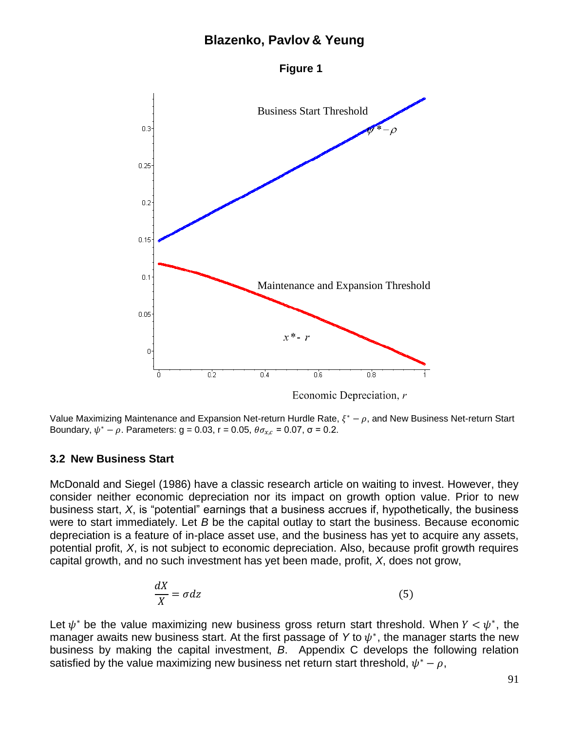



Economic Depreciation,  $r$ 

Value Maximizing Maintenance and Expansion Net-return Hurdle Rate,  $\xi^* - \rho$ , and New Business Net-return Start Boundary,  $ψ^* - ρ$ . Parameters: g = 0.03, r = 0.05,  $θσ_{x,c}$  = 0.07, σ = 0.2.

#### **3.2 New Business Start**

McDonald and Siegel (1986) have a classic research article on waiting to invest. However, they consider neither economic depreciation nor its impact on growth option value. Prior to new business start, *X*, is "potential" earnings that a business accrues if, hypothetically, the business were to start immediately. Let *B* be the capital outlay to start the business. Because economic depreciation is a feature of in-place asset use, and the business has yet to acquire any assets, potential profit, *X*, is not subject to economic depreciation. Also, because profit growth requires capital growth, and no such investment has yet been made, profit, *X*, does not grow,

$$
\frac{dX}{X} = \sigma dz \tag{5}
$$

Let  $\psi^*$  be the value maximizing new business gross return start threshold. When  $Y < \psi^*$ , the manager awaits new business start. At the first passage of Y to  $\psi^*$ , the manager starts the new business by making the capital investment, *B*. Appendix C develops the following relation satisfied by the value maximizing new business net return start threshold,  $\psi^* - \rho$ ,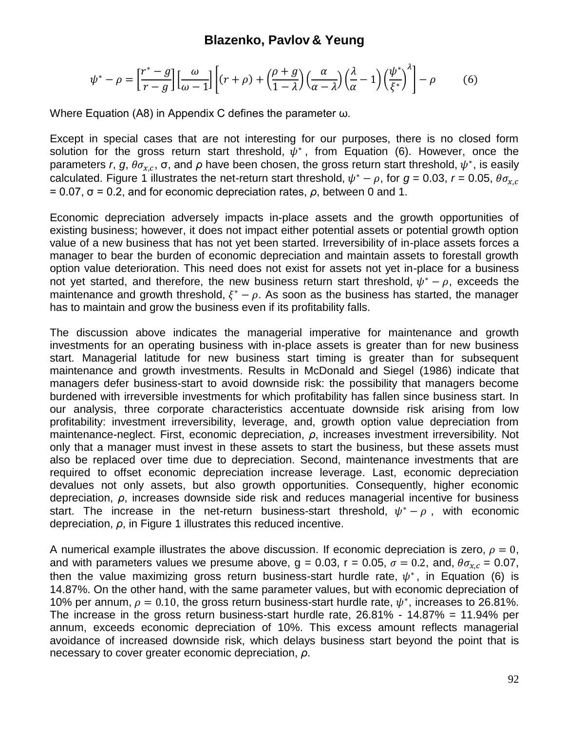$$
\psi^* - \rho = \left[\frac{r^* - g}{r - g}\right] \left[\frac{\omega}{\omega - 1}\right] \left[ (r + \rho) + \left(\frac{\rho + g}{1 - \lambda}\right) \left(\frac{\alpha}{\alpha - \lambda}\right) \left(\frac{\lambda}{\alpha} - 1\right) \left(\frac{\psi^*}{\xi^*}\right)^{\lambda} \right] - \rho \tag{6}
$$

Where Equation (A8) in Appendix C defines the parameter ω.

Except in special cases that are not interesting for our purposes, there is no closed form solution for the gross return start threshold,  $\psi^*$ , from Equation (6). However, once the parameters r, g,  $\theta \sigma_{x,c}$ ,  $\sigma$ , and  $\rho$  have been chosen, the gross return start threshold,  $\psi^*$ , is easily calculated. Figure 1 illustrates the net-return start threshold,  $\psi^* - \rho$ , for  $g = 0.03$ ,  $r = 0.05$ ,  $= 0.07$ ,  $σ = 0.2$ , and for economic depreciation rates,  $ρ$ , between 0 and 1.

Economic depreciation adversely impacts in-place assets and the growth opportunities of existing business; however, it does not impact either potential assets or potential growth option value of a new business that has not yet been started. Irreversibility of in-place assets forces a manager to bear the burden of economic depreciation and maintain assets to forestall growth option value deterioration. This need does not exist for assets not yet in-place for a business not yet started, and therefore, the new business return start threshold,  $\psi^* - \rho$ , exceeds the maintenance and growth threshold,  $\xi^* - \rho$ . As soon as the business has started, the manager has to maintain and grow the business even if its profitability falls.

The discussion above indicates the managerial imperative for maintenance and growth investments for an operating business with in-place assets is greater than for new business start. Managerial latitude for new business start timing is greater than for subsequent maintenance and growth investments. Results in McDonald and Siegel (1986) indicate that managers defer business-start to avoid downside risk: the possibility that managers become burdened with irreversible investments for which profitability has fallen since business start. In our analysis, three corporate characteristics accentuate downside risk arising from low profitability: investment irreversibility, leverage, and, growth option value depreciation from maintenance-neglect. First, economic depreciation, *ρ*, increases investment irreversibility. Not only that a manager must invest in these assets to start the business, but these assets must also be replaced over time due to depreciation. Second, maintenance investments that are required to offset economic depreciation increase leverage. Last, economic depreciation devalues not only assets, but also growth opportunities. Consequently, higher economic depreciation, *ρ*, increases downside side risk and reduces managerial incentive for business start. The increase in the net-return business-start threshold,  $\psi^* - \rho$ , with economic depreciation, *ρ*, in Figure 1 illustrates this reduced incentive.

A numerical example illustrates the above discussion. If economic depreciation is zero,  $\rho = 0$ , and with parameters values we presume above,  $g = 0.03$ ,  $r = 0.05$ ,  $\sigma = 0.2$ , and,  $\theta \sigma_{x,c} = 0.07$ , then the value maximizing gross return business-start hurdle rate,  $\psi^*$ , in Equation (6) is 14.87%. On the other hand, with the same parameter values, but with economic depreciation of 10% per annum,  $\rho = 0.10$ , the gross return business-start hurdle rate,  $\psi^*$ , increases to 26.81%. The increase in the gross return business-start hurdle rate, 26.81% - 14.87% = 11.94% per annum, exceeds economic depreciation of 10%. This excess amount reflects managerial avoidance of increased downside risk, which delays business start beyond the point that is necessary to cover greater economic depreciation, *ρ*.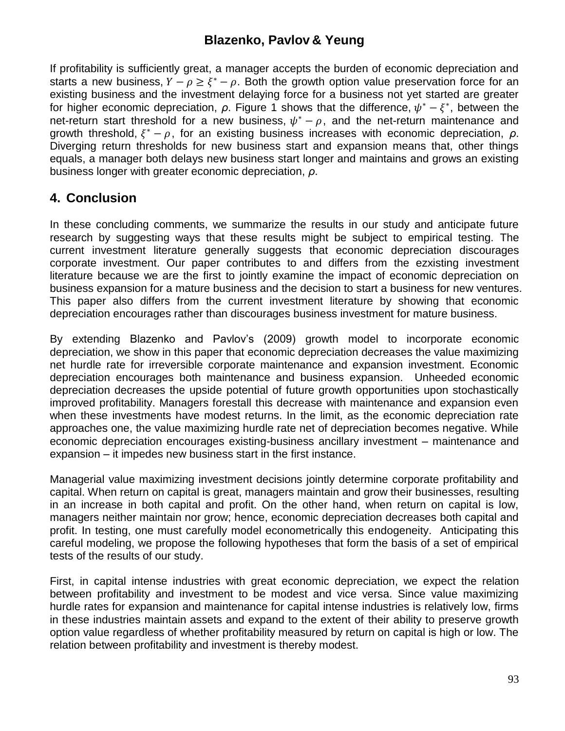If profitability is sufficiently great, a manager accepts the burden of economic depreciation and starts a new business,  $Y - \rho \geq \xi^* - \rho$ . Both the growth option value preservation force for an existing business and the investment delaying force for a business not yet started are greater for higher economic depreciation,  $\rho$ . Figure 1 shows that the difference,  $\psi^* - \xi^*$ , between the net-return start threshold for a new business,  $\psi^* - \rho$ , and the net-return maintenance and growth threshold,  $\xi^* - \rho$ , for an existing business increases with economic depreciation,  $\rho$ . Diverging return thresholds for new business start and expansion means that, other things equals, a manager both delays new business start longer and maintains and grows an existing business longer with greater economic depreciation, *ρ*.

# **4. Conclusion**

In these concluding comments, we summarize the results in our study and anticipate future research by suggesting ways that these results might be subject to empirical testing. The current investment literature generally suggests that economic depreciation discourages corporate investment. Our paper contributes to and differs from the ezxisting investment literature because we are the first to jointly examine the impact of economic depreciation on business expansion for a mature business and the decision to start a business for new ventures. This paper also differs from the current investment literature by showing that economic depreciation encourages rather than discourages business investment for mature business.

By extending Blazenko and Pavlov"s (2009) growth model to incorporate economic depreciation, we show in this paper that economic depreciation decreases the value maximizing net hurdle rate for irreversible corporate maintenance and expansion investment. Economic depreciation encourages both maintenance and business expansion. Unheeded economic depreciation decreases the upside potential of future growth opportunities upon stochastically improved profitability. Managers forestall this decrease with maintenance and expansion even when these investments have modest returns. In the limit, as the economic depreciation rate approaches one, the value maximizing hurdle rate net of depreciation becomes negative. While economic depreciation encourages existing-business ancillary investment – maintenance and expansion – it impedes new business start in the first instance.

Managerial value maximizing investment decisions jointly determine corporate profitability and capital. When return on capital is great, managers maintain and grow their businesses, resulting in an increase in both capital and profit. On the other hand, when return on capital is low, managers neither maintain nor grow; hence, economic depreciation decreases both capital and profit. In testing, one must carefully model econometrically this endogeneity. Anticipating this careful modeling, we propose the following hypotheses that form the basis of a set of empirical tests of the results of our study.

First, in capital intense industries with great economic depreciation, we expect the relation between profitability and investment to be modest and vice versa. Since value maximizing hurdle rates for expansion and maintenance for capital intense industries is relatively low, firms in these industries maintain assets and expand to the extent of their ability to preserve growth option value regardless of whether profitability measured by return on capital is high or low. The relation between profitability and investment is thereby modest.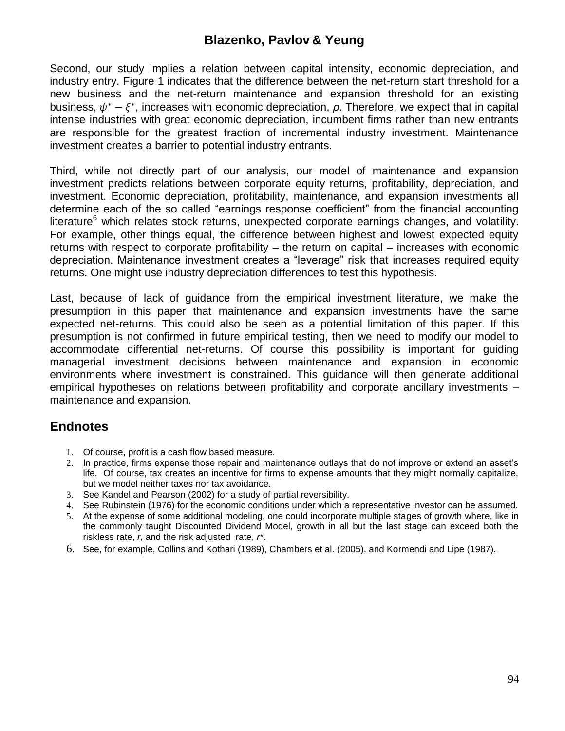Second, our study implies a relation between capital intensity, economic depreciation, and industry entry. Figure 1 indicates that the difference between the net-return start threshold for a new business and the net-return maintenance and expansion threshold for an existing business,  $\psi^* - \xi^*$ , increases with economic depreciation,  $\rho$ . Therefore, we expect that in capital intense industries with great economic depreciation, incumbent firms rather than new entrants are responsible for the greatest fraction of incremental industry investment. Maintenance investment creates a barrier to potential industry entrants.

Third, while not directly part of our analysis, our model of maintenance and expansion investment predicts relations between corporate equity returns, profitability, depreciation, and investment. Economic depreciation, profitability, maintenance, and expansion investments all determine each of the so called "earnings response coefficient" from the financial accounting literature $6$  which relates stock returns, unexpected corporate earnings changes, and volatility. For example, other things equal, the difference between highest and lowest expected equity returns with respect to corporate profitability – the return on capital – increases with economic depreciation. Maintenance investment creates a "leverage" risk that increases required equity returns. One might use industry depreciation differences to test this hypothesis.

Last, because of lack of guidance from the empirical investment literature, we make the presumption in this paper that maintenance and expansion investments have the same expected net-returns. This could also be seen as a potential limitation of this paper. If this presumption is not confirmed in future empirical testing, then we need to modify our model to accommodate differential net-returns. Of course this possibility is important for guiding managerial investment decisions between maintenance and expansion in economic environments where investment is constrained. This guidance will then generate additional empirical hypotheses on relations between profitability and corporate ancillary investments – maintenance and expansion.

# **Endnotes**

- 1. Of course, profit is a cash flow based measure.
- 2. In practice, firms expense those repair and maintenance outlays that do not improve or extend an asset"s life. Of course, tax creates an incentive for firms to expense amounts that they might normally capitalize, but we model neither taxes nor tax avoidance.
- 3. See Kandel and Pearson (2002) for a study of partial reversibility.
- 4. See Rubinstein (1976) for the economic conditions under which a representative investor can be assumed.
- 5. At the expense of some additional modeling, one could incorporate multiple stages of growth where, like in the commonly taught Discounted Dividend Model, growth in all but the last stage can exceed both the riskless rate, *r*, and the risk adjusted rate, *r*\*.
- 6. See, for example, Collins and Kothari (1989), Chambers et al. (2005), and Kormendi and Lipe (1987).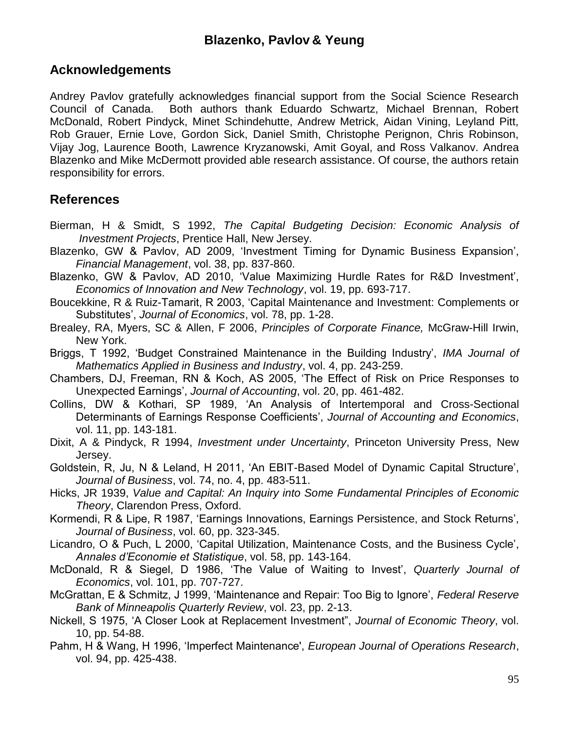# **Acknowledgements**

Andrey Pavlov gratefully acknowledges financial support from the Social Science Research Council of Canada. Both authors thank Eduardo Schwartz, Michael Brennan, Robert McDonald, Robert Pindyck, Minet Schindehutte, Andrew Metrick, Aidan Vining, Leyland Pitt, Rob Grauer, Ernie Love, Gordon Sick, Daniel Smith, Christophe Perignon, Chris Robinson, Vijay Jog, Laurence Booth, Lawrence Kryzanowski, Amit Goyal, and Ross Valkanov. Andrea Blazenko and Mike McDermott provided able research assistance. Of course, the authors retain responsibility for errors.

# **References**

- Bierman, H & Smidt, S 1992, *The Capital Budgeting Decision: Economic Analysis of Investment Projects*, Prentice Hall, New Jersey.
- Blazenko, GW & Pavlov, AD 2009, "Investment Timing for Dynamic Business Expansion", *Financial Management*, vol. 38, pp. 837-860.
- Blazenko, GW & Pavlov, AD 2010, 'Value Maximizing Hurdle Rates for R&D Investment', *Economics of Innovation and New Technology*, vol. 19, pp. 693-717.
- Boucekkine, R & Ruiz-Tamarit, R 2003, "Capital Maintenance and Investment: Complements or Substitutes", *Journal of Economics*, vol. 78, pp. 1-28.
- Brealey, RA, Myers, SC & Allen, F 2006, *Principles of Corporate Finance,* McGraw-Hill Irwin, New York.
- Briggs, T 1992, "Budget Constrained Maintenance in the Building Industry", *IMA Journal of Mathematics Applied in Business and Industry*, vol. 4, pp. 243-259.
- Chambers, DJ, Freeman, RN & Koch, AS 2005, "The Effect of Risk on Price Responses to Unexpected Earnings", *Journal of Accounting*, vol. 20, pp. 461-482.
- Collins, DW & Kothari, SP 1989, "An Analysis of Intertemporal and Cross-Sectional Determinants of Earnings Response Coefficients", *Journal of Accounting and Economics*, vol. 11, pp. 143-181.
- Dixit, A & Pindyck, R 1994, *Investment under Uncertainty*, Princeton University Press, New Jersey.
- Goldstein, R, Ju, N & Leland, H 2011, "An EBIT-Based Model of Dynamic Capital Structure", *Journal of Business*, vol. 74, no. 4, pp. 483-511.
- Hicks, JR 1939, *Value and Capital: An Inquiry into Some Fundamental Principles of Economic Theory*, Clarendon Press, Oxford.
- Kormendi, R & Lipe, R 1987, "Earnings Innovations, Earnings Persistence, and Stock Returns", *Journal of Business*, vol. 60, pp. 323-345.
- Licandro, O & Puch, L 2000, "Capital Utilization, Maintenance Costs, and the Business Cycle", *Annales d'Economie et Statistique*, vol. 58, pp. 143-164.
- McDonald, R & Siegel, D 1986, "The Value of Waiting to Invest", *Quarterly Journal of Economics*, vol. 101, pp. 707-727.
- McGrattan, E & Schmitz, J 1999, "Maintenance and Repair: Too Big to Ignore", *Federal Reserve Bank of Minneapolis Quarterly Review*, vol. 23, pp. 2-13.
- Nickell, S 1975, "A Closer Look at Replacement Investment", *Journal of Economic Theory*, vol. 10, pp. 54-88.
- Pahm, H & Wang, H 1996, "Imperfect Maintenance', *European Journal of Operations Research*, vol. 94, pp. 425-438.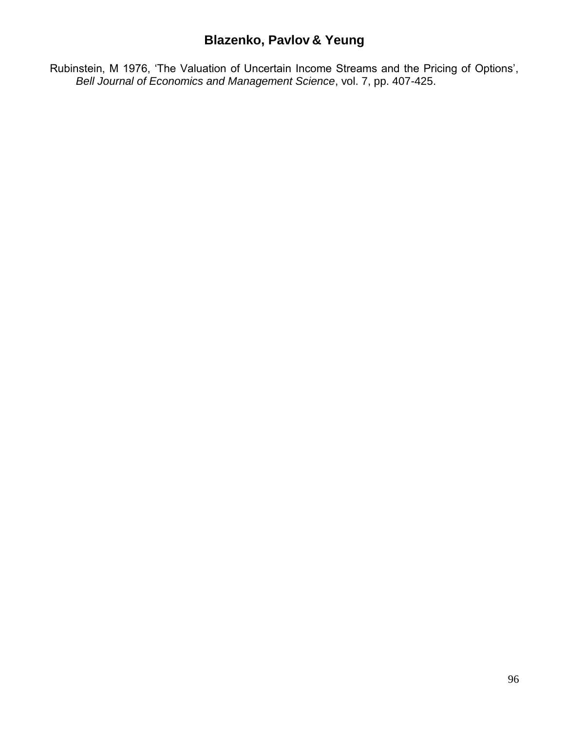Rubinstein, M 1976, "The Valuation of Uncertain Income Streams and the Pricing of Options", *Bell Journal of Economics and Management Science*, vol. 7, pp. 407-425.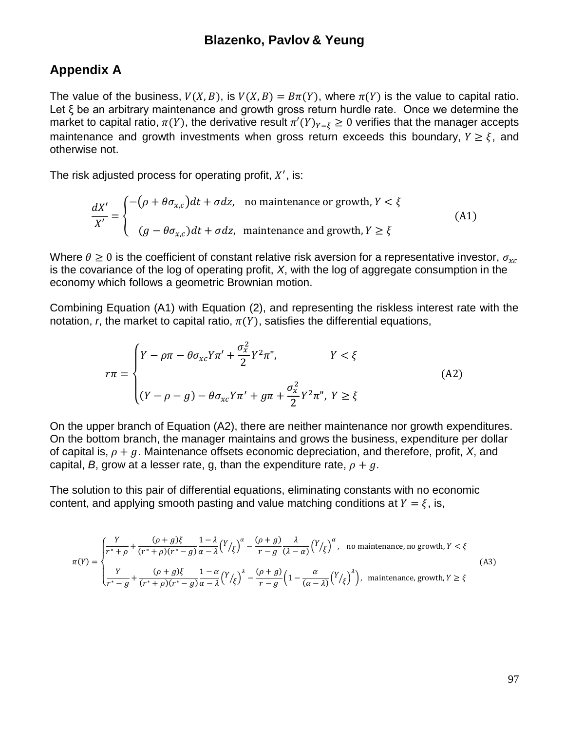## **Appendix A**

The value of the business,  $V(X, B)$ , is  $V(X, B) = B\pi(Y)$ , where  $\pi(Y)$  is the value to capital ratio. Let ξ be an arbitrary maintenance and growth gross return hurdle rate. Once we determine the market to capital ratio,  $\pi(Y)$ , the derivative result  $\pi'(Y)_{Y=\xi} \geq 0$  verifies that the manager accepts maintenance and growth investments when gross return exceeds this boundary,  $Y \geq \xi$ , and otherwise not.

The risk adjusted process for operating profit,  $X'$ , is:

$$
\frac{dX'}{X'} = \begin{cases}\n-(\rho + \theta \sigma_{x,c})dt + \sigma dz, & \text{no maintenance or growth, } Y < \xi \\
(g - \theta \sigma_{x,c})dt + \sigma dz, & \text{ maintenance and growth, } Y \ge \xi\n\end{cases}
$$
\n(A1)

Where  $\theta \geq 0$  is the coefficient of constant relative risk aversion for a representative investor,  $\sigma_{rc}$ is the covariance of the log of operating profit, *X*, with the log of aggregate consumption in the economy which follows a geometric Brownian motion.

Combining Equation (A1) with Equation (2), and representing the riskless interest rate with the notation, *r*, the market to capital ratio,  $\pi(Y)$ , satisfies the differential equations,

$$
r\pi = \begin{cases} Y - \rho\pi - \theta\sigma_{xc}Y\pi' + \frac{\sigma_x^2}{2}Y^2\pi'', & Y < \xi \\ (Y - \rho - g) - \theta\sigma_{xc}Y\pi' + g\pi + \frac{\sigma_x^2}{2}Y^2\pi'', Y \ge \xi \end{cases}
$$
(A2)

On the upper branch of Equation (A2), there are neither maintenance nor growth expenditures. On the bottom branch, the manager maintains and grows the business, expenditure per dollar of capital is,  $\rho + g$ . Maintenance offsets economic depreciation, and therefore, profit, *X*, and capital, *B*, grow at a lesser rate, g, than the expenditure rate,  $\rho + g$ .

The solution to this pair of differential equations, eliminating constants with no economic content, and applying smooth pasting and value matching conditions at  $Y = \xi$ , is,

$$
\pi(Y) = \begin{cases}\n\frac{Y}{r^* + \rho} + \frac{(\rho + g)\xi}{(r^* + \rho)(r^* - g)} \frac{1 - \lambda}{\alpha - \lambda} \left(\frac{Y}{\xi}\right)^{\alpha} - \frac{(\rho + g)}{r - g} \frac{\lambda}{(\lambda - \alpha)} \left(\frac{Y}{\xi}\right)^{\alpha}, & \text{no maintenance, no growth, } Y < \xi \\
\frac{Y}{r^* - g} + \frac{(\rho + g)\xi}{(r^* + \rho)(r^* - g)} \frac{1 - \alpha}{\alpha - \lambda} \left(\frac{Y}{\xi}\right)^{\lambda} - \frac{(\rho + g)}{r - g} \left(1 - \frac{\alpha}{(\alpha - \lambda)} \left(\frac{Y}{\xi}\right)^{\lambda}\right), & \text{ maintenance, growth, } Y \ge \xi\n\end{cases} (A3)
$$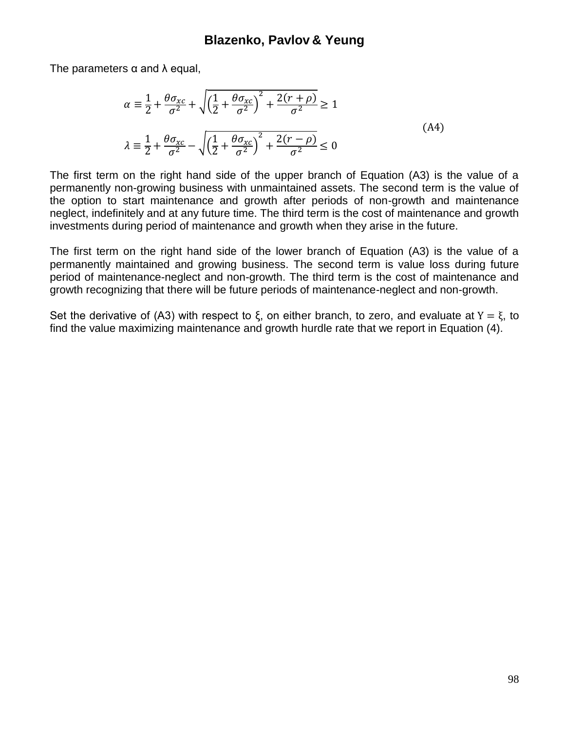The parameters  $\alpha$  and  $\lambda$  equal,

$$
\alpha = \frac{1}{2} + \frac{\theta \sigma_{xc}}{\sigma^2} + \sqrt{\left(\frac{1}{2} + \frac{\theta \sigma_{xc}}{\sigma^2}\right)^2 + \frac{2(r+\rho)}{\sigma^2}} \ge 1
$$
\n
$$
\lambda = \frac{1}{2} + \frac{\theta \sigma_{xc}}{\sigma^2} - \sqrt{\left(\frac{1}{2} + \frac{\theta \sigma_{xc}}{\sigma^2}\right)^2 + \frac{2(r-\rho)}{\sigma^2}} \le 0
$$
\n(A4)

The first term on the right hand side of the upper branch of Equation (A3) is the value of a permanently non-growing business with unmaintained assets. The second term is the value of the option to start maintenance and growth after periods of non-growth and maintenance neglect, indefinitely and at any future time. The third term is the cost of maintenance and growth investments during period of maintenance and growth when they arise in the future.

The first term on the right hand side of the lower branch of Equation (A3) is the value of a permanently maintained and growing business. The second term is value loss during future period of maintenance-neglect and non-growth. The third term is the cost of maintenance and growth recognizing that there will be future periods of maintenance-neglect and non-growth.

Set the derivative of (A3) with respect to  $\xi$ , on either branch, to zero, and evaluate at  $Y = \xi$ , to find the value maximizing maintenance and growth hurdle rate that we report in Equation (4).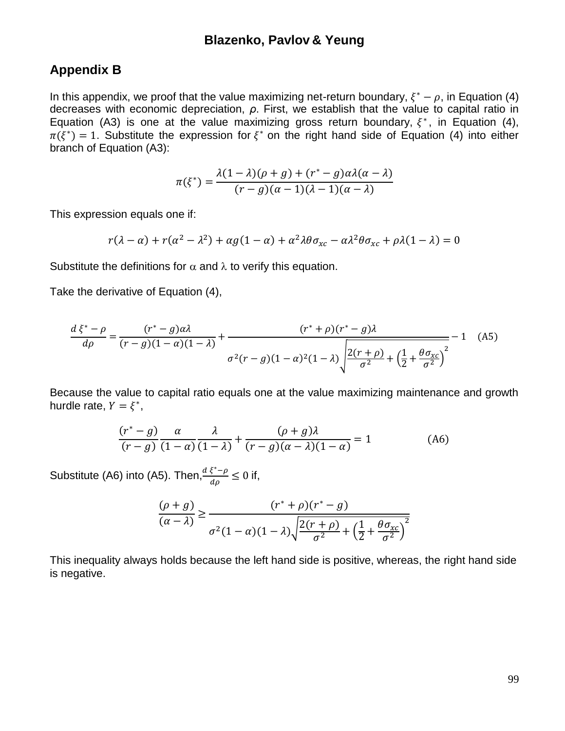## **Appendix B**

In this appendix, we proof that the value maximizing net-return boundary,  $\xi^* - \rho$ , in Equation (4) decreases with economic depreciation, *ρ*. First, we establish that the value to capital ratio in Equation (A3) is one at the value maximizing gross return boundary,  $\xi^*$ , in Equation (4),  $\pi(\xi^*) = 1$ . Substitute the expression for  $\xi^*$  on the right hand side of Equation (4) into either branch of Equation (A3):

$$
\pi(\xi^*) = \frac{\lambda(1-\lambda)(\rho+g) + (r^*-g)\alpha\lambda(\alpha-\lambda)}{(r-g)(\alpha-1)(\lambda-1)(\alpha-\lambda)}
$$

This expression equals one if:

$$
r(\lambda - \alpha) + r(\alpha^2 - \lambda^2) + \alpha g(1 - \alpha) + \alpha^2 \lambda \theta \sigma_{xc} - \alpha \lambda^2 \theta \sigma_{xc} + \rho \lambda (1 - \lambda) = 0
$$

Substitute the definitions for  $\alpha$  and  $\lambda$  to verify this equation.

Take the derivative of Equation (4),

$$
\frac{d\xi^* - \rho}{d\rho} = \frac{(r^* - g)\alpha\lambda}{(r - g)(1 - \alpha)(1 - \lambda)} + \frac{(r^* + \rho)(r^* - g)\lambda}{\sigma^2(r - g)(1 - \alpha)^2(1 - \lambda)\sqrt{\frac{2(r + \rho)}{\sigma^2} + (\frac{1}{2} + \frac{\theta\sigma_{xc}}{\sigma^2})^2}} - 1
$$
 (A5)

Because the value to capital ratio equals one at the value maximizing maintenance and growth hurdle rate,  $Y = \xi^*$ ,

$$
\frac{(r^* - g)}{(r - g)} \frac{\alpha}{(1 - \alpha)} \frac{\lambda}{(1 - \lambda)} + \frac{(\rho + g)\lambda}{(r - g)(\alpha - \lambda)(1 - \alpha)} = 1
$$
 (A6)

Substitute (A6) into (A5). Then, $\frac{d\xi^*}{dt}$  $\frac{\epsilon_{\text{S}} - \rho}{d\rho} \leq 0$  if,

$$
\frac{(\rho+g)}{(\alpha-\lambda)} \ge \frac{(r^*+\rho)(r^* - g)}{\sigma^2 (1-\alpha)(1-\lambda)\sqrt{\frac{2(r+\rho)}{\sigma^2} + \left(\frac{1}{2} + \frac{\theta \sigma_{xc}}{\sigma^2}\right)^2}}
$$

This inequality always holds because the left hand side is positive, whereas, the right hand side is negative.